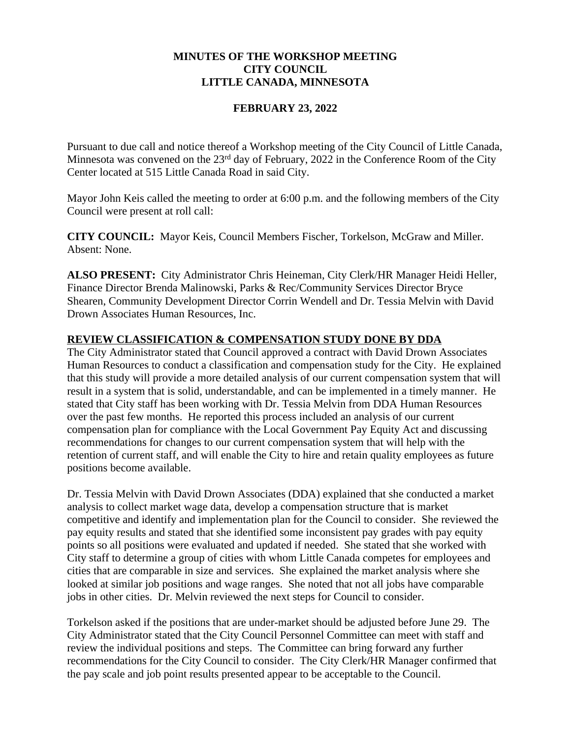# **MINUTES OF THE WORKSHOP MEETING CITY COUNCIL LITTLE CANADA, MINNESOTA**

### **FEBRUARY 23, 2022**

Pursuant to due call and notice thereof a Workshop meeting of the City Council of Little Canada, Minnesota was convened on the 23<sup>rd</sup> day of February, 2022 in the Conference Room of the City Center located at 515 Little Canada Road in said City.

Mayor John Keis called the meeting to order at 6:00 p.m. and the following members of the City Council were present at roll call:

**CITY COUNCIL:** Mayor Keis, Council Members Fischer, Torkelson, McGraw and Miller. Absent: None.

**ALSO PRESENT:** City Administrator Chris Heineman, City Clerk/HR Manager Heidi Heller, Finance Director Brenda Malinowski, Parks & Rec/Community Services Director Bryce Shearen, Community Development Director Corrin Wendell and Dr. Tessia Melvin with David Drown Associates Human Resources, Inc.

### **REVIEW CLASSIFICATION & COMPENSATION STUDY DONE BY DDA**

The City Administrator stated that Council approved a contract with David Drown Associates Human Resources to conduct a classification and compensation study for the City. He explained that this study will provide a more detailed analysis of our current compensation system that will result in a system that is solid, understandable, and can be implemented in a timely manner. He stated that City staff has been working with Dr. Tessia Melvin from DDA Human Resources over the past few months. He reported this process included an analysis of our current compensation plan for compliance with the Local Government Pay Equity Act and discussing recommendations for changes to our current compensation system that will help with the retention of current staff, and will enable the City to hire and retain quality employees as future positions become available.

Dr. Tessia Melvin with David Drown Associates (DDA) explained that she conducted a market analysis to collect market wage data, develop a compensation structure that is market competitive and identify and implementation plan for the Council to consider. She reviewed the pay equity results and stated that she identified some inconsistent pay grades with pay equity points so all positions were evaluated and updated if needed. She stated that she worked with City staff to determine a group of cities with whom Little Canada competes for employees and cities that are comparable in size and services. She explained the market analysis where she looked at similar job positions and wage ranges. She noted that not all jobs have comparable jobs in other cities. Dr. Melvin reviewed the next steps for Council to consider.

Torkelson asked if the positions that are under-market should be adjusted before June 29. The City Administrator stated that the City Council Personnel Committee can meet with staff and review the individual positions and steps. The Committee can bring forward any further recommendations for the City Council to consider. The City Clerk/HR Manager confirmed that the pay scale and job point results presented appear to be acceptable to the Council.